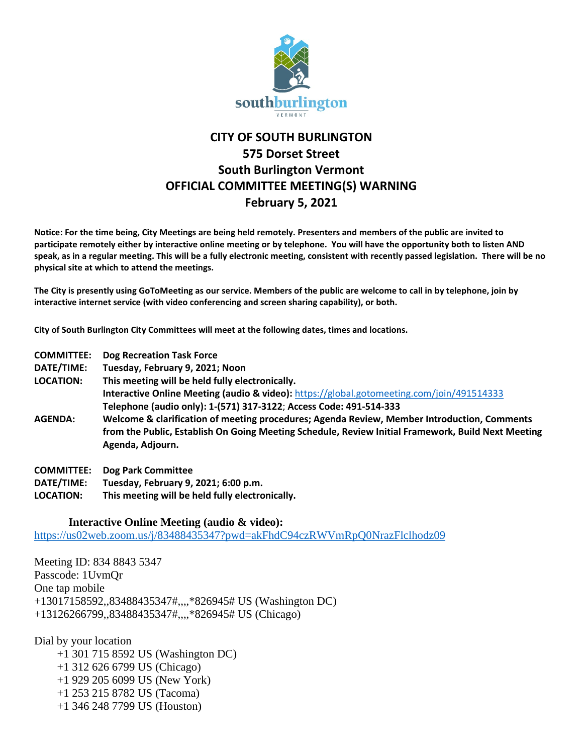

## **CITY OF SOUTH BURLINGTON 575 Dorset Street South Burlington Vermont OFFICIAL COMMITTEE MEETING(S) WARNING February 5, 2021**

**Notice: For the time being, City Meetings are being held remotely. Presenters and members of the public are invited to participate remotely either by interactive online meeting or by telephone. You will have the opportunity both to listen AND speak, as in a regular meeting. This will be a fully electronic meeting, consistent with recently passed legislation. There will be no physical site at which to attend the meetings.** 

**The City is presently using GoToMeeting as our service. Members of the public are welcome to call in by telephone, join by interactive internet service (with video conferencing and screen sharing capability), or both.**

**City of South Burlington City Committees will meet at the following dates, times and locations.** 

- **COMMITTEE: Dog Recreation Task Force**
- **DATE/TIME: Tuesday, February 9, 2021; Noon**

**LOCATION: This meeting will be held fully electronically. Interactive Online Meeting (audio & video):** <https://global.gotomeeting.com/join/491514333> **Telephone (audio only): 1-(571) 317-3122**; **Access Code: 491-514-333**

- **AGENDA: Welcome & clarification of meeting procedures; Agenda Review, Member Introduction, Comments from the Public, Establish On Going Meeting Schedule, Review Initial Framework, Build Next Meeting Agenda, Adjourn.**
- **COMMITTEE: Dog Park Committee**
- **DATE/TIME: Tuesday, February 9, 2021; 6:00 p.m.**
- **LOCATION: This meeting will be held fully electronically.**

## **Interactive Online Meeting (audio & video):**

<https://us02web.zoom.us/j/83488435347?pwd=akFhdC94czRWVmRpQ0NrazFlclhodz09>

Meeting ID: 834 8843 5347 Passcode: 1UvmQr One tap mobile +13017158592,,83488435347#,,,,\*826945# US (Washington DC) +13126266799,,83488435347#,,,,\*826945# US (Chicago)

Dial by your location

 +1 301 715 8592 US (Washington DC) +1 312 626 6799 US (Chicago) +1 929 205 6099 US (New York) +1 253 215 8782 US (Tacoma) +1 346 248 7799 US (Houston)